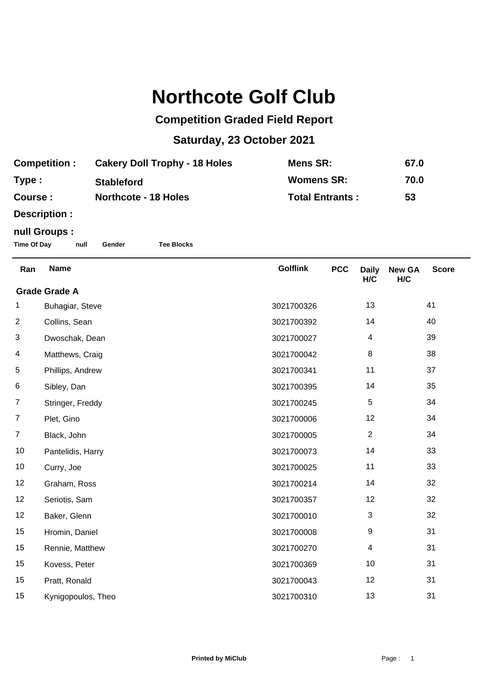## **Northcote Golf Club**

## **Competition Graded Field Report**

## **Saturday, 23 October 2021**

| <b>Competition:</b> | <b>Cakery Doll Trophy - 18 Holes</b> | Mens SR:               | 67.0 |
|---------------------|--------------------------------------|------------------------|------|
| Type :              | <b>Stableford</b>                    | <b>Womens SR:</b>      | 70.0 |
| <b>Course:</b>      | <b>Northcote - 18 Holes</b>          | <b>Total Entrants:</b> | 53   |

**Description :**

## **null Groups :**

**Time Of Day null Gender Tee Blocks**

| Ran                  | <b>Name</b>        | <b>Golflink</b> | <b>PCC</b> | <b>Daily</b><br>H/C | <b>New GA</b><br>H/C | <b>Score</b> |
|----------------------|--------------------|-----------------|------------|---------------------|----------------------|--------------|
| <b>Grade Grade A</b> |                    |                 |            |                     |                      |              |
| 1                    | Buhagiar, Steve    | 3021700326      |            | 13                  |                      | 41           |
| $\overline{2}$       | Collins, Sean      | 3021700392      |            | 14                  |                      | 40           |
| 3                    | Dwoschak, Dean     | 3021700027      |            | 4                   |                      | 39           |
| 4                    | Matthews, Craig    | 3021700042      |            | 8                   |                      | 38           |
| 5                    | Phillips, Andrew   | 3021700341      |            | 11                  |                      | 37           |
| 6                    | Sibley, Dan        | 3021700395      |            | 14                  |                      | 35           |
| $\overline{7}$       | Stringer, Freddy   | 3021700245      |            | 5                   |                      | 34           |
| $\overline{7}$       | Plet, Gino         | 3021700006      |            | 12                  |                      | 34           |
| $\overline{7}$       | Black, John        | 3021700005      |            | $\overline{2}$      |                      | 34           |
| 10                   | Pantelidis, Harry  | 3021700073      |            | 14                  |                      | 33           |
| 10                   | Curry, Joe         | 3021700025      |            | 11                  |                      | 33           |
| 12                   | Graham, Ross       | 3021700214      |            | 14                  |                      | 32           |
| 12                   | Seriotis, Sam      | 3021700357      |            | 12                  |                      | 32           |
| 12                   | Baker, Glenn       | 3021700010      |            | 3                   |                      | 32           |
| 15                   | Hromin, Daniel     | 3021700008      |            | 9                   |                      | 31           |
| 15                   | Rennie, Matthew    | 3021700270      |            | 4                   |                      | 31           |
| 15                   | Kovess, Peter      | 3021700369      |            | 10                  |                      | 31           |
| 15                   | Pratt, Ronald      | 3021700043      |            | 12                  |                      | 31           |
| 15                   | Kynigopoulos, Theo | 3021700310      |            | 13                  |                      | 31           |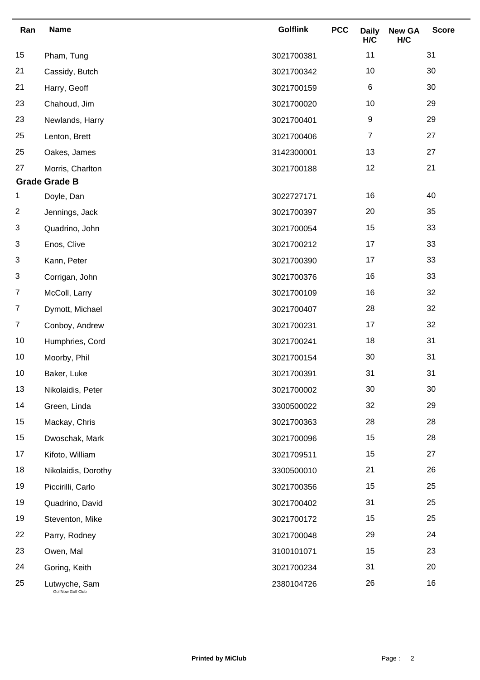| Ran            | <b>Name</b>                        | <b>Golflink</b> | <b>PCC</b> | <b>Daily</b><br>H/C | <b>New GA</b><br>H/C | <b>Score</b> |
|----------------|------------------------------------|-----------------|------------|---------------------|----------------------|--------------|
| 15             | Pham, Tung                         | 3021700381      |            | 11                  |                      | 31           |
| 21             | Cassidy, Butch                     | 3021700342      |            | 10                  |                      | 30           |
| 21             | Harry, Geoff                       | 3021700159      |            | 6                   |                      | 30           |
| 23             | Chahoud, Jim                       | 3021700020      |            | 10                  |                      | 29           |
| 23             | Newlands, Harry                    | 3021700401      |            | 9                   |                      | 29           |
| 25             | Lenton, Brett                      | 3021700406      |            | $\boldsymbol{7}$    |                      | 27           |
| 25             | Oakes, James                       | 3142300001      |            | 13                  |                      | 27           |
| 27             | Morris, Charlton                   | 3021700188      |            | 12                  |                      | 21           |
|                | <b>Grade Grade B</b>               |                 |            |                     |                      |              |
| 1              | Doyle, Dan                         | 3022727171      |            | 16                  |                      | 40           |
| 2              | Jennings, Jack                     | 3021700397      |            | 20                  |                      | 35           |
| 3              | Quadrino, John                     | 3021700054      |            | 15                  |                      | 33           |
| 3              | Enos, Clive                        | 3021700212      |            | 17                  |                      | 33           |
| 3              | Kann, Peter                        | 3021700390      |            | 17                  |                      | 33           |
| 3              | Corrigan, John                     | 3021700376      |            | 16                  |                      | 33           |
| 7              | McColl, Larry                      | 3021700109      |            | 16                  |                      | 32           |
| $\overline{7}$ | Dymott, Michael                    | 3021700407      |            | 28                  |                      | 32           |
| $\overline{7}$ | Conboy, Andrew                     | 3021700231      |            | 17                  |                      | 32           |
| 10             | Humphries, Cord                    | 3021700241      |            | 18                  |                      | 31           |
| 10             | Moorby, Phil                       | 3021700154      |            | 30                  |                      | 31           |
| 10             | Baker, Luke                        | 3021700391      |            | 31                  |                      | 31           |
| 13             | Nikolaidis, Peter                  | 3021700002      |            | 30                  |                      | 30           |
| 14             | Green, Linda                       | 3300500022      |            | 32                  |                      | 29           |
| 15             | Mackay, Chris                      | 3021700363      |            | 28                  |                      | 28           |
| 15             | Dwoschak, Mark                     | 3021700096      |            | 15                  |                      | 28           |
| 17             | Kifoto, William                    | 3021709511      |            | 15                  |                      | 27           |
| 18             | Nikolaidis, Dorothy                | 3300500010      |            | 21                  |                      | 26           |
| 19             | Piccirilli, Carlo                  | 3021700356      |            | 15                  |                      | 25           |
| 19             | Quadrino, David                    | 3021700402      |            | 31                  |                      | 25           |
| 19             | Steventon, Mike                    | 3021700172      |            | 15                  |                      | 25           |
| 22             | Parry, Rodney                      | 3021700048      |            | 29                  |                      | 24           |
| 23             | Owen, Mal                          | 3100101071      |            | 15                  |                      | 23           |
| 24             | Goring, Keith                      | 3021700234      |            | 31                  |                      | 20           |
| 25             | Lutwyche, Sam<br>GolfNow Golf Club | 2380104726      |            | 26                  |                      | 16           |